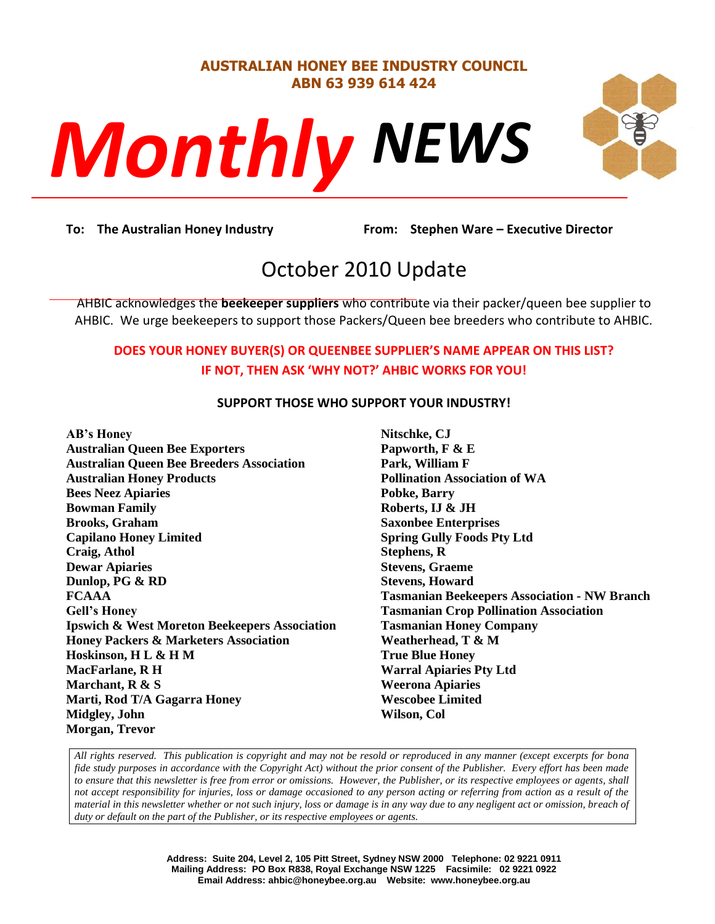#### **AUSTRALIAN HONEY BEE INDUSTRY COUNCIL ABN 63 939 614 424**



# *NEWS Monthly*

**DECONSTREE**<br>Prom: Stephe **To: The Australian Honey Industry From: Stephen Ware – Executive Director**

## October 2010 Update

AHBIC acknowledges the **beekeeper suppliers** who contribute via their packer/queen bee supplier to AHBIC. We urge beekeepers to support those Packers/Queen bee breeders who contribute to AHBIC.

#### **DOES YOUR HONEY BUYER(S) OR QUEENBEE SUPPLIER'S NAME APPEAR ON THIS LIST? IF NOT, THEN ASK 'WHY NOT?' AHBIC WORKS FOR YOU!**

#### **SUPPORT THOSE WHO SUPPORT YOUR INDUSTRY!**

**AB's Honey Australian Queen Bee Exporters Australian Queen Bee Breeders Association Australian Honey Products Bees Neez Apiaries Bowman Family Brooks, Graham Capilano Honey Limited Craig, Athol Dewar Apiaries Dunlop, PG & RD FCAAA Gell's Honey Ipswich & West Moreton Beekeepers Association Honey Packers & Marketers Association Hoskinson, H L & H M MacFarlane, R H Marchant, R & S Marti, Rod T/A Gagarra Honey Midgley, John Morgan, Trevor**

**Nitschke, CJ Papworth, F & E Park, William F Pollination Association of WA Pobke, Barry Roberts, IJ & JH Saxonbee Enterprises Spring Gully Foods Pty Ltd Stephens, R Stevens, Graeme Stevens, Howard Tasmanian Beekeepers Association - NW Branch Tasmanian Crop Pollination Association Tasmanian Honey Company Weatherhead, T & M True Blue Honey Warral Apiaries Pty Ltd Weerona Apiaries Wescobee Limited Wilson, Col**

*All rights reserved. This publication is copyright and may not be resold or reproduced in any manner (except excerpts for bona fide study purposes in accordance with the Copyright Act) without the prior consent of the Publisher. Every effort has been made to ensure that this newsletter is free from error or omissions. However, the Publisher, or its respective employees or agents, shall not accept responsibility for injuries, loss or damage occasioned to any person acting or referring from action as a result of the material in this newsletter whether or not such injury, loss or damage is in any way due to any negligent act or omission, breach of duty or default on the part of the Publisher, or its respective employees or agents.*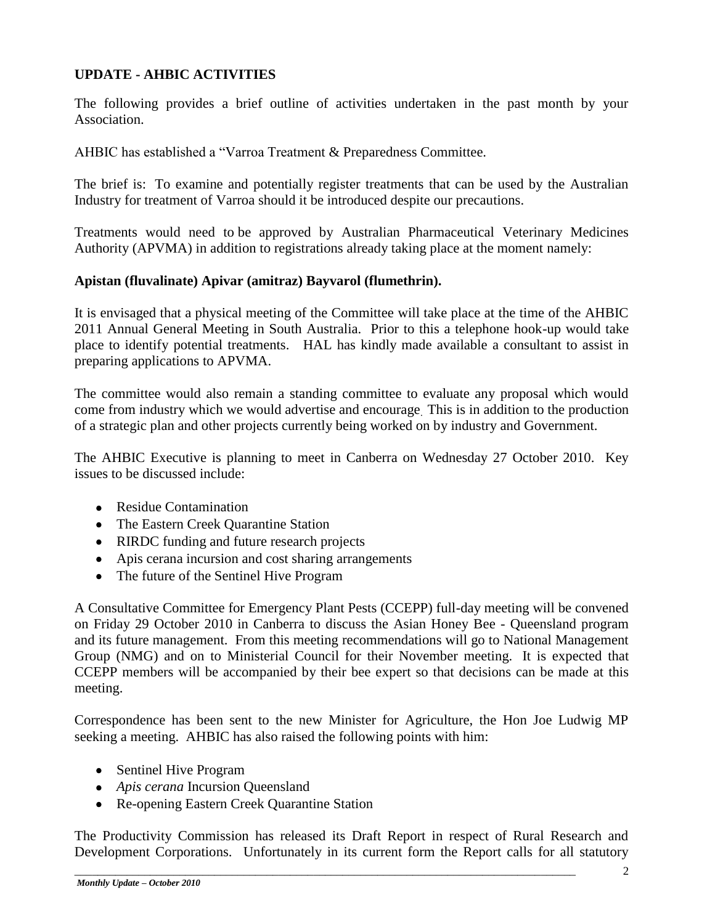#### **UPDATE - AHBIC ACTIVITIES**

The following provides a brief outline of activities undertaken in the past month by your Association.

AHBIC has established a "Varroa Treatment & Preparedness Committee.

The brief is: To examine and potentially register treatments that can be used by the Australian Industry for treatment of Varroa should it be introduced despite our precautions.

Treatments would need to be approved by Australian Pharmaceutical Veterinary Medicines Authority (APVMA) in addition to registrations already taking place at the moment namely:

#### **Apistan (fluvalinate) Apivar (amitraz) Bayvarol (flumethrin).**

It is envisaged that a physical meeting of the Committee will take place at the time of the AHBIC 2011 Annual General Meeting in South Australia. Prior to this a telephone hook-up would take place to identify potential treatments. HAL has kindly made available a consultant to assist in preparing applications to APVMA.

The committee would also remain a standing committee to evaluate any proposal which would come from industry which we would advertise and encourage. This is in addition to the production of a strategic plan and other projects currently being worked on by industry and Government.

The AHBIC Executive is planning to meet in Canberra on Wednesday 27 October 2010. Key issues to be discussed include:

- Residue Contamination
- The Eastern Creek Quarantine Station
- RIRDC funding and future research projects
- Apis cerana incursion and cost sharing arrangements
- The future of the Sentinel Hive Program

A Consultative Committee for Emergency Plant Pests (CCEPP) full-day meeting will be convened on Friday 29 October 2010 in Canberra to discuss the Asian Honey Bee - Queensland program and its future management. From this meeting recommendations will go to National Management Group (NMG) and on to Ministerial Council for their November meeting. It is expected that CCEPP members will be accompanied by their bee expert so that decisions can be made at this meeting.

Correspondence has been sent to the new Minister for Agriculture, the Hon Joe Ludwig MP seeking a meeting. AHBIC has also raised the following points with him:

- Sentinel Hive Program
- *Apis cerana* Incursion Queensland
- Re-opening Eastern Creek Quarantine Station

The Productivity Commission has released its Draft Report in respect of Rural Research and Development Corporations. Unfortunately in its current form the Report calls for all statutory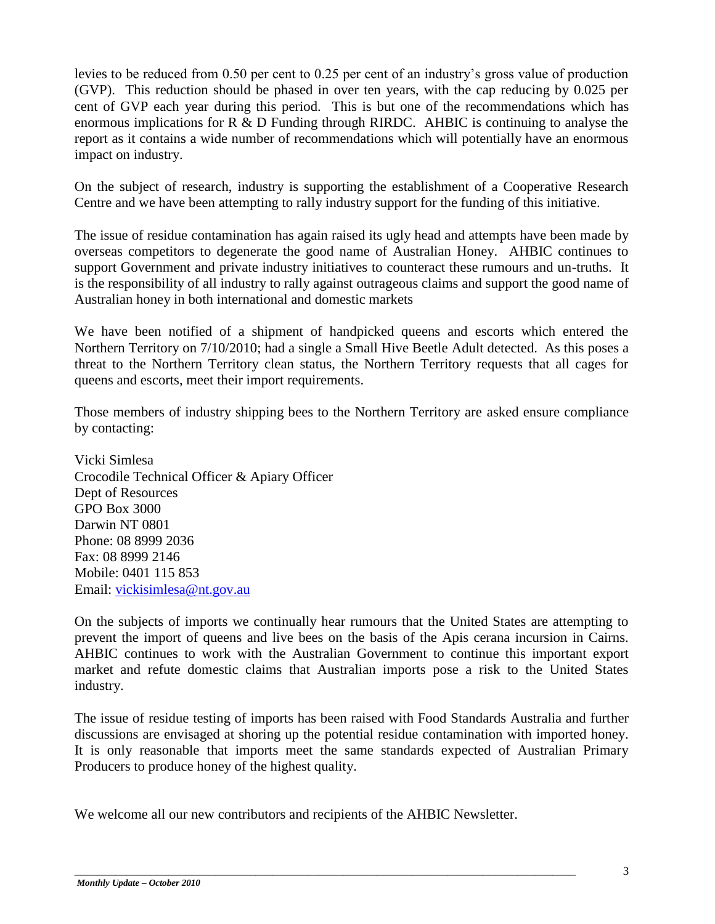levies to be reduced from 0.50 per cent to 0.25 per cent of an industry's gross value of production (GVP). This reduction should be phased in over ten years, with the cap reducing by 0.025 per cent of GVP each year during this period. This is but one of the recommendations which has enormous implications for R & D Funding through RIRDC. AHBIC is continuing to analyse the report as it contains a wide number of recommendations which will potentially have an enormous impact on industry.

On the subject of research, industry is supporting the establishment of a Cooperative Research Centre and we have been attempting to rally industry support for the funding of this initiative.

The issue of residue contamination has again raised its ugly head and attempts have been made by overseas competitors to degenerate the good name of Australian Honey. AHBIC continues to support Government and private industry initiatives to counteract these rumours and un-truths. It is the responsibility of all industry to rally against outrageous claims and support the good name of Australian honey in both international and domestic markets

We have been notified of a shipment of handpicked queens and escorts which entered the Northern Territory on 7/10/2010; had a single a Small Hive Beetle Adult detected. As this poses a threat to the Northern Territory clean status, the Northern Territory requests that all cages for queens and escorts, meet their import requirements.

Those members of industry shipping bees to the Northern Territory are asked ensure compliance by contacting:

Vicki Simlesa Crocodile Technical Officer & Apiary Officer Dept of Resources GPO Box 3000 Darwin NT 0801 Phone: 08 8999 2036 Fax: 08 8999 2146 Mobile: 0401 115 853 Email: [vickisimlesa@nt.gov.au](mailto:vickisimlesa@nt.gov.au)

On the subjects of imports we continually hear rumours that the United States are attempting to prevent the import of queens and live bees on the basis of the Apis cerana incursion in Cairns. AHBIC continues to work with the Australian Government to continue this important export market and refute domestic claims that Australian imports pose a risk to the United States industry.

The issue of residue testing of imports has been raised with Food Standards Australia and further discussions are envisaged at shoring up the potential residue contamination with imported honey. It is only reasonable that imports meet the same standards expected of Australian Primary Producers to produce honey of the highest quality.

We welcome all our new contributors and recipients of the AHBIC Newsletter.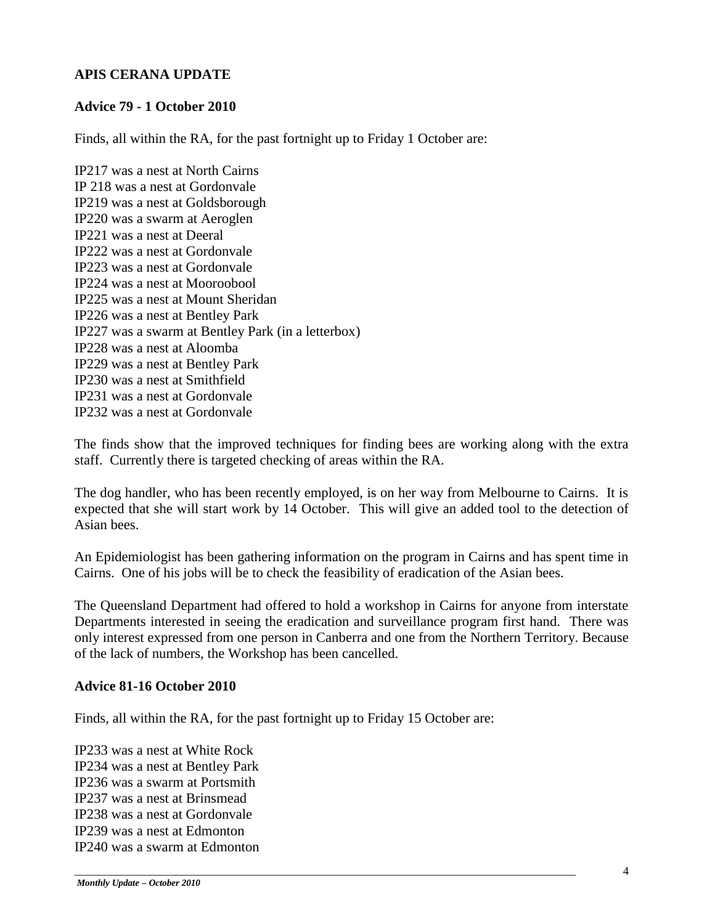#### **APIS CERANA UPDATE**

#### **Advice 79 - 1 October 2010**

Finds, all within the RA, for the past fortnight up to Friday 1 October are:

IP217 was a nest at North Cairns IP 218 was a nest at Gordonvale IP219 was a nest at Goldsborough IP220 was a swarm at Aeroglen IP221 was a nest at Deeral IP222 was a nest at Gordonvale IP223 was a nest at Gordonvale IP224 was a nest at Mooroobool IP225 was a nest at Mount Sheridan IP226 was a nest at Bentley Park IP227 was a swarm at Bentley Park (in a letterbox) IP228 was a nest at Aloomba IP229 was a nest at Bentley Park IP230 was a nest at Smithfield IP231 was a nest at Gordonvale IP232 was a nest at Gordonvale

The finds show that the improved techniques for finding bees are working along with the extra staff. Currently there is targeted checking of areas within the RA.

The dog handler, who has been recently employed, is on her way from Melbourne to Cairns. It is expected that she will start work by 14 October. This will give an added tool to the detection of Asian bees.

An Epidemiologist has been gathering information on the program in Cairns and has spent time in Cairns. One of his jobs will be to check the feasibility of eradication of the Asian bees.

The Queensland Department had offered to hold a workshop in Cairns for anyone from interstate Departments interested in seeing the eradication and surveillance program first hand. There was only interest expressed from one person in Canberra and one from the Northern Territory. Because of the lack of numbers, the Workshop has been cancelled.

#### **Advice 81-16 October 2010**

Finds, all within the RA, for the past fortnight up to Friday 15 October are:

\_\_\_\_\_\_\_\_\_\_\_\_\_\_\_\_\_\_\_\_\_\_\_\_\_\_\_\_\_\_\_\_\_\_\_\_\_\_\_\_\_\_\_\_\_\_\_\_\_\_\_\_\_\_\_\_\_\_\_\_\_\_\_\_\_\_\_\_\_\_\_\_\_\_\_\_\_\_\_\_\_\_\_\_\_\_

IP233 was a nest at White Rock IP234 was a nest at Bentley Park IP236 was a swarm at Portsmith IP237 was a nest at Brinsmead IP238 was a nest at Gordonvale IP239 was a nest at Edmonton IP240 was a swarm at Edmonton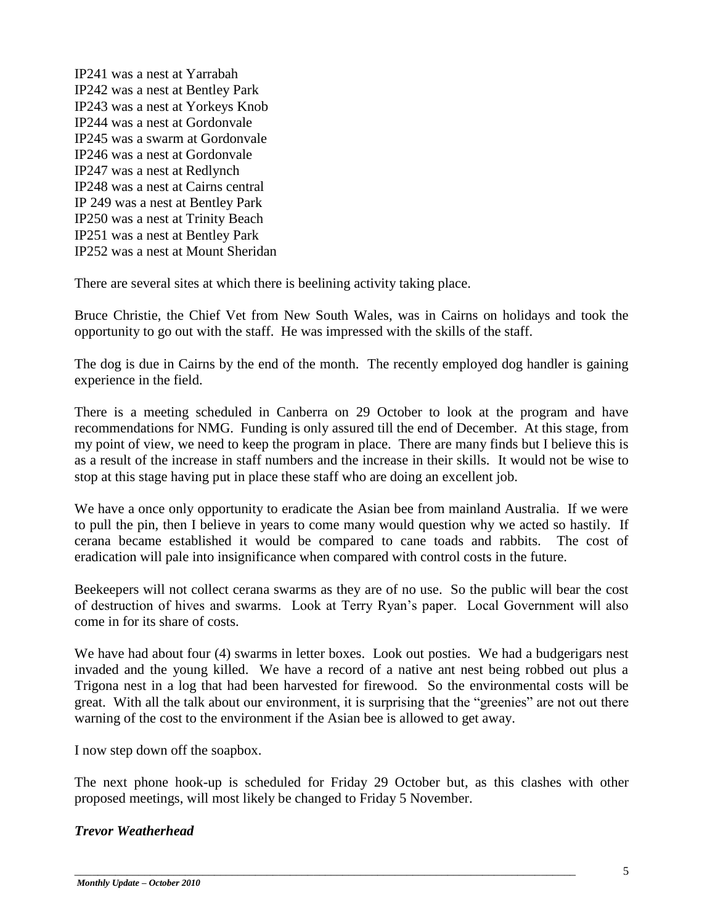IP241 was a nest at Yarrabah IP242 was a nest at Bentley Park IP243 was a nest at Yorkeys Knob IP244 was a nest at Gordonvale IP245 was a swarm at Gordonvale IP246 was a nest at Gordonvale IP247 was a nest at Redlynch IP248 was a nest at Cairns central IP 249 was a nest at Bentley Park IP250 was a nest at Trinity Beach IP251 was a nest at Bentley Park IP252 was a nest at Mount Sheridan

There are several sites at which there is beelining activity taking place.

Bruce Christie, the Chief Vet from New South Wales, was in Cairns on holidays and took the opportunity to go out with the staff. He was impressed with the skills of the staff.

The dog is due in Cairns by the end of the month. The recently employed dog handler is gaining experience in the field.

There is a meeting scheduled in Canberra on 29 October to look at the program and have recommendations for NMG. Funding is only assured till the end of December. At this stage, from my point of view, we need to keep the program in place. There are many finds but I believe this is as a result of the increase in staff numbers and the increase in their skills. It would not be wise to stop at this stage having put in place these staff who are doing an excellent job.

We have a once only opportunity to eradicate the Asian bee from mainland Australia. If we were to pull the pin, then I believe in years to come many would question why we acted so hastily. If cerana became established it would be compared to cane toads and rabbits. The cost of eradication will pale into insignificance when compared with control costs in the future.

Beekeepers will not collect cerana swarms as they are of no use. So the public will bear the cost of destruction of hives and swarms. Look at Terry Ryan's paper. Local Government will also come in for its share of costs.

We have had about four (4) swarms in letter boxes. Look out posties. We had a budgerigars nest invaded and the young killed. We have a record of a native ant nest being robbed out plus a Trigona nest in a log that had been harvested for firewood. So the environmental costs will be great. With all the talk about our environment, it is surprising that the "greenies" are not out there warning of the cost to the environment if the Asian bee is allowed to get away.

I now step down off the soapbox.

The next phone hook-up is scheduled for Friday 29 October but, as this clashes with other proposed meetings, will most likely be changed to Friday 5 November.

\_\_\_\_\_\_\_\_\_\_\_\_\_\_\_\_\_\_\_\_\_\_\_\_\_\_\_\_\_\_\_\_\_\_\_\_\_\_\_\_\_\_\_\_\_\_\_\_\_\_\_\_\_\_\_\_\_\_\_\_\_\_\_\_\_\_\_\_\_\_\_\_\_\_\_\_\_\_\_\_\_\_\_\_\_\_

#### *Trevor Weatherhead*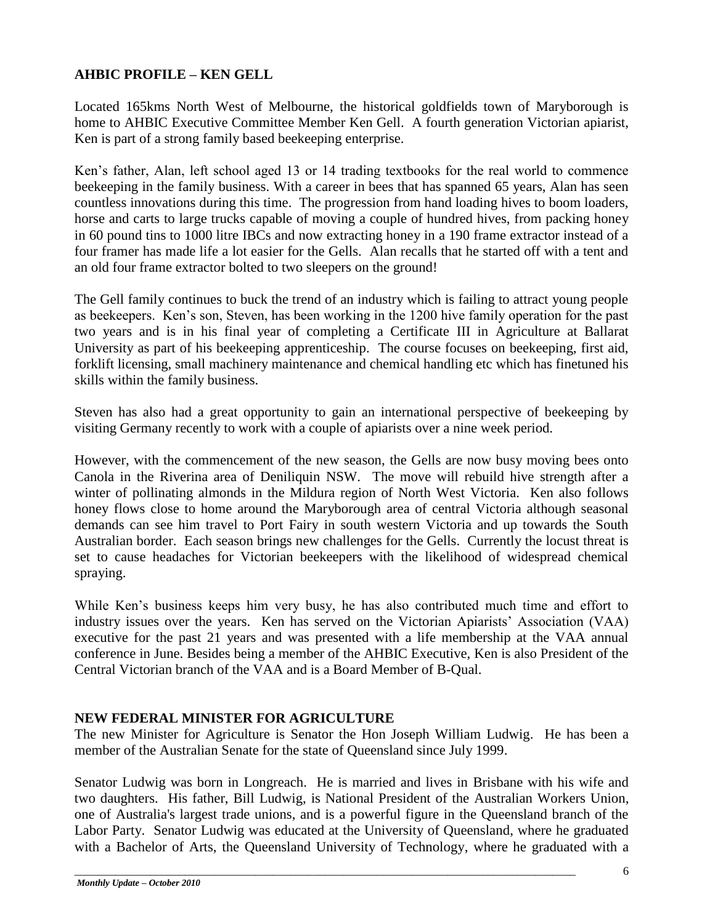#### **AHBIC PROFILE – KEN GELL**

Located 165kms North West of Melbourne, the historical goldfields town of Maryborough is home to AHBIC Executive Committee Member Ken Gell. A fourth generation Victorian apiarist, Ken is part of a strong family based beekeeping enterprise.

Ken's father, Alan, left school aged 13 or 14 trading textbooks for the real world to commence beekeeping in the family business. With a career in bees that has spanned 65 years, Alan has seen countless innovations during this time. The progression from hand loading hives to boom loaders, horse and carts to large trucks capable of moving a couple of hundred hives, from packing honey in 60 pound tins to 1000 litre IBCs and now extracting honey in a 190 frame extractor instead of a four framer has made life a lot easier for the Gells. Alan recalls that he started off with a tent and an old four frame extractor bolted to two sleepers on the ground!

The Gell family continues to buck the trend of an industry which is failing to attract young people as beekeepers. Ken's son, Steven, has been working in the 1200 hive family operation for the past two years and is in his final year of completing a Certificate III in Agriculture at Ballarat University as part of his beekeeping apprenticeship. The course focuses on beekeeping, first aid, forklift licensing, small machinery maintenance and chemical handling etc which has finetuned his skills within the family business.

Steven has also had a great opportunity to gain an international perspective of beekeeping by visiting Germany recently to work with a couple of apiarists over a nine week period.

However, with the commencement of the new season, the Gells are now busy moving bees onto Canola in the Riverina area of Deniliquin NSW. The move will rebuild hive strength after a winter of pollinating almonds in the Mildura region of North West Victoria. Ken also follows honey flows close to home around the Maryborough area of central Victoria although seasonal demands can see him travel to Port Fairy in south western Victoria and up towards the South Australian border. Each season brings new challenges for the Gells. Currently the locust threat is set to cause headaches for Victorian beekeepers with the likelihood of widespread chemical spraying.

While Ken's business keeps him very busy, he has also contributed much time and effort to industry issues over the years. Ken has served on the Victorian Apiarists' Association (VAA) executive for the past 21 years and was presented with a life membership at the VAA annual conference in June. Besides being a member of the AHBIC Executive, Ken is also President of the Central Victorian branch of the VAA and is a Board Member of B-Qual.

#### **NEW FEDERAL MINISTER FOR AGRICULTURE**

The new Minister for Agriculture is Senator the Hon Joseph William Ludwig. He has been a member of the [Australian Senate](http://en.wikipedia.org/wiki/Australian_Senate) for the state of Queensland since July 1999.

Senator Ludwig was born in [Longreach.](http://en.wikipedia.org/wiki/Longreach,_Queensland) He is married and lives in [Brisbane](http://en.wikipedia.org/wiki/Brisbane,_Queensland) with his wife and two daughters. His father, [Bill Ludwig,](http://en.wikipedia.org/wiki/Bill_Ludwig) is National President of the [Australian Workers Union,](http://en.wikipedia.org/wiki/Australian_Workers_Union) one of Australia's largest trade unions, and is a powerful figure in the Queensland branch of the Labor Party. Senator Ludwig was educated at the [University of Queensland,](http://en.wikipedia.org/wiki/University_of_Queensland) where he graduated with a Bachelor of Arts, the [Queensland University of Technology,](http://en.wikipedia.org/wiki/Queensland_University_of_Technology) where he graduated with a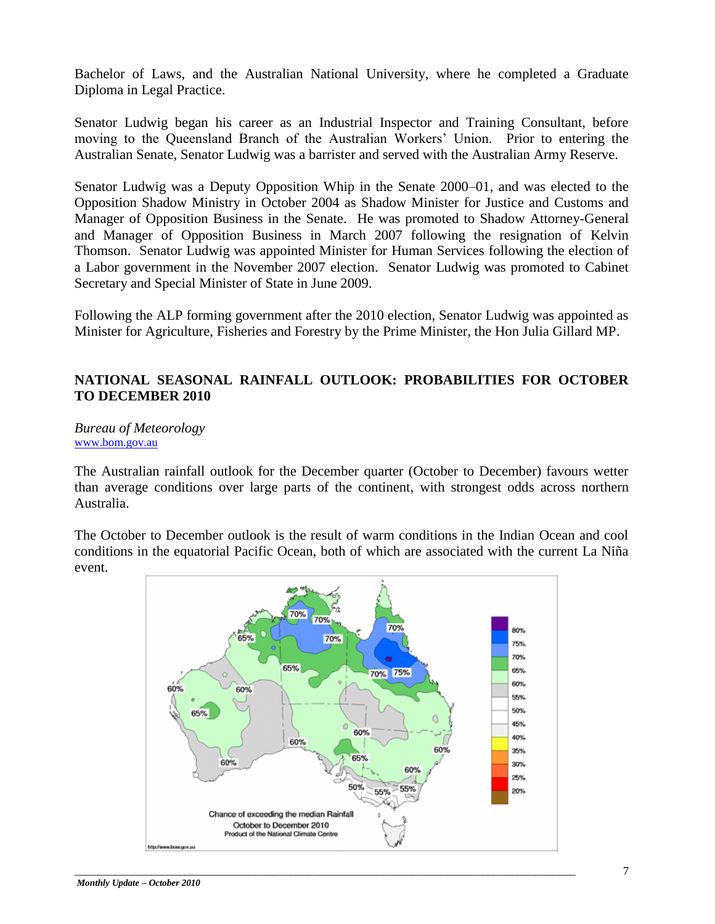Bachelor of Laws, and the [Australian National University,](http://en.wikipedia.org/wiki/Australian_National_University) where he completed a Graduate Diploma in Legal Practice.

Senator Ludwig began his career as an Industrial Inspector and Training Consultant, before moving to the Queensland Branch of the Australian Workers' Union. Prior to entering the Australian Senate, Senator Ludwig was a barrister and served with the Australian Army Reserve.

Senator Ludwig was a Deputy Opposition Whip in the Senate 2000–01, and was elected to the Opposition Shadow Ministry in October 2004 as Shadow Minister for Justice and Customs and Manager of Opposition Business in the Senate. He was promoted to Shadow Attorney-General and Manager of Opposition Business in March 2007 following the resignation of [Kelvin](http://en.wikipedia.org/wiki/Kelvin_Thomson)  [Thomson.](http://en.wikipedia.org/wiki/Kelvin_Thomson) Senator Ludwig was appointed Minister for [Human Services](http://en.wikipedia.org/wiki/Minister_for_Human_Services_(Australia)) following the election of a Labor government in the [November 2007 election.](http://en.wikipedia.org/wiki/Australian_federal_election,_2007) Senator Ludwig was promoted to Cabinet Secretary and Special Minister of State in June 2009.

Following the ALP forming government after the 2010 election, Senator Ludwig was appointed as Minister for Agriculture, Fisheries and Forestry by the Prime Minister, the Hon Julia Gillard MP.

#### **NATIONAL SEASONAL RAINFALL OUTLOOK: PROBABILITIES FOR OCTOBER TO DECEMBER 2010**

*Bureau of Meteorology* [www.bom.gov.au](http://www.bom.gov.au/)

The Australian rainfall outlook for the December quarter (October to December) favours wetter than average conditions over large parts of the continent, with strongest odds across northern Australia.

The October to December outlook is the result of warm conditions in the Indian Ocean and cool conditions in the equatorial Pacific Ocean, both of which are associated with the current La Niña event.

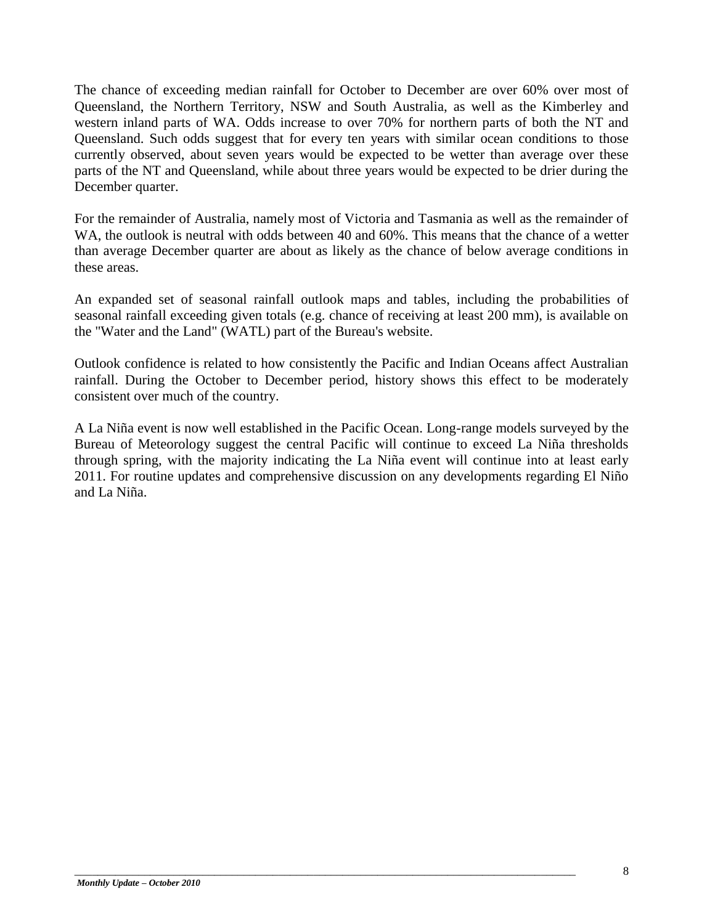The chance of exceeding [median rainfall](http://www.bom.gov.au/climate/averages/climatology/rainfall-percentiles/50/p50-October-December.png) for October to December are over 60% over most of Queensland, the Northern Territory, NSW and South Australia, as well as the Kimberley and western inland parts of WA. Odds increase to over 70% for northern parts of both the NT and Queensland. Such odds suggest that for every ten years with similar ocean conditions to those currently observed, about seven years would be expected to be wetter than average over these parts of the NT and Queensland, while about three years would be expected to be drier during the December quarter.

For the remainder of Australia, namely most of Victoria and Tasmania as well as the remainder of WA, the outlook is neutral with odds between 40 and 60%. This means that the chance of a wetter than average December quarter are about as likely as the chance of below average conditions in these areas.

An expanded set of seasonal [rainfall outlook maps and tables,](http://www.bom.gov.au/watl/rainfall/exceedance.shtml) including the probabilities of seasonal rainfall exceeding given totals (e.g. chance of receiving at least 200 mm), is available on the "Water and the Land" (WATL) part of the Bureau's website.

Outlook [confidence](http://www.bom.gov.au/climate/ahead/temp/pc.rr.10-12.gif) is related to how consistently the Pacific and Indian Oceans affect Australian rainfall. During the October to December period, history shows this effect to be moderately consistent over much of the country.

A La Niña event is now well established in the Pacific Ocean. Long-range models surveyed by the Bureau of Meteorology suggest the central Pacific will continue to exceed La Niña thresholds through spring, with the majority indicating the La Niña event will continue into at least early 2011. For routine updates and comprehensive discussion on any developments regarding El Niño and La Niña.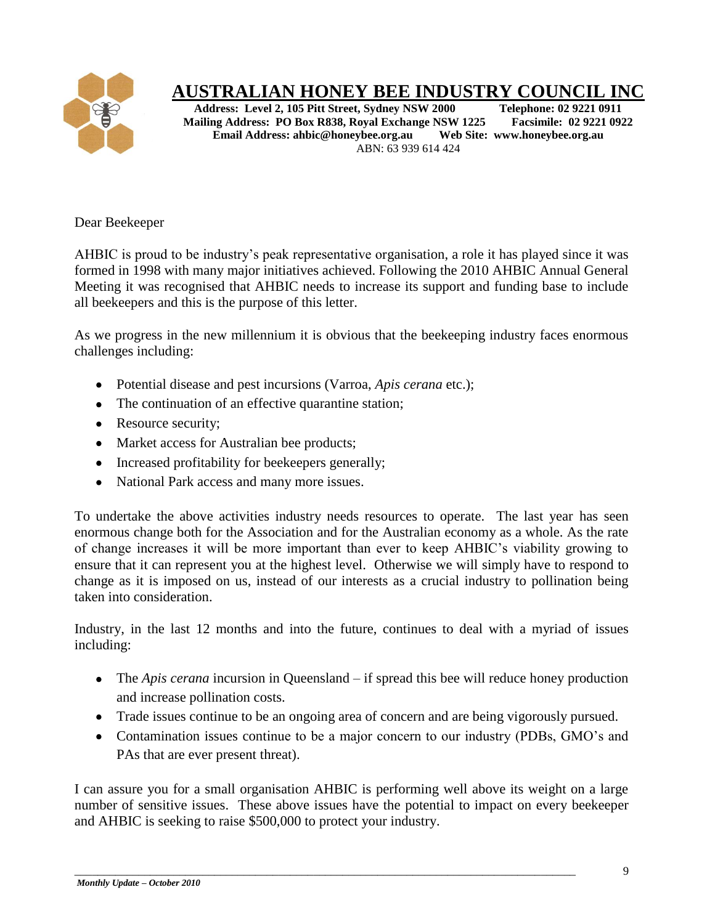

# **AUSTRALIAN HONEY BEE INDUSTRY COUNCIL INC**<br>Address: Level 2, 105 Pitt Street, Sydney NSW 2000 Telephone: 02 9221 0911

**Address: Level 2, 105 Pitt Street, Sydney NSW 2000 Telephone: 02 9221 0911**<br> **Calling Address: PO Box R838, Royal Exchange NSW 1225** Facsimile: 02 9221 0922 **Mailing Address: PO Box R838, Royal Exchange NSW 1225 Facsimile: 02 9221 Email Address: ahbic@honeybee.org.au Web Site: www.honeybee.org.au Email Address: ahbic@honeybee.org.au** ABN: 63 939 614 424

Dear Beekeeper

AHBIC is proud to be industry's peak representative organisation, a role it has played since it was formed in 1998 with many major initiatives achieved. Following the 2010 AHBIC Annual General Meeting it was recognised that AHBIC needs to increase its support and funding base to include all beekeepers and this is the purpose of this letter.

As we progress in the new millennium it is obvious that the beekeeping industry faces enormous challenges including:

- Potential disease and pest incursions (Varroa, *Apis cerana* etc.);
- The continuation of an effective quarantine station;
- Resource security;
- Market access for Australian bee products;
- Increased profitability for beekeepers generally;
- National Park access and many more issues.

To undertake the above activities industry needs resources to operate. The last year has seen enormous change both for the Association and for the Australian economy as a whole. As the rate of change increases it will be more important than ever to keep AHBIC's viability growing to ensure that it can represent you at the highest level. Otherwise we will simply have to respond to change as it is imposed on us, instead of our interests as a crucial industry to pollination being taken into consideration.

Industry, in the last 12 months and into the future, continues to deal with a myriad of issues including:

- The *Apis cerana* incursion in Queensland if spread this bee will reduce honey production and increase pollination costs.
- Trade issues continue to be an ongoing area of concern and are being vigorously pursued.
- Contamination issues continue to be a major concern to our industry (PDBs, GMO's and PAs that are ever present threat).

I can assure you for a small organisation AHBIC is performing well above its weight on a large number of sensitive issues. These above issues have the potential to impact on every beekeeper and AHBIC is seeking to raise \$500,000 to protect your industry.